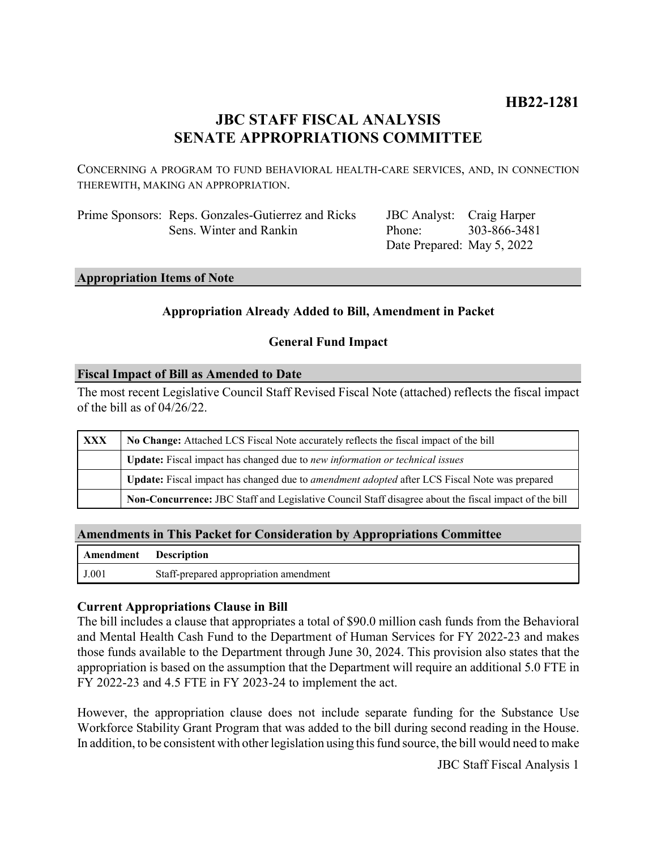# **HB22-1281**

# **JBC STAFF FISCAL ANALYSIS SENATE APPROPRIATIONS COMMITTEE**

CONCERNING A PROGRAM TO FUND BEHAVIORAL HEALTH-CARE SERVICES, AND, IN CONNECTION THEREWITH, MAKING AN APPROPRIATION.

Prime Sponsors: Reps. Gonzales-Gutierrez and Ricks Sens. Winter and Rankin

JBC Analyst: Craig Harper Phone: Date Prepared: May 5, 2022 303-866-3481

#### **Appropriation Items of Note**

### **Appropriation Already Added to Bill, Amendment in Packet**

#### **General Fund Impact**

#### **Fiscal Impact of Bill as Amended to Date**

The most recent Legislative Council Staff Revised Fiscal Note (attached) reflects the fiscal impact of the bill as of 04/26/22.

| XXX | No Change: Attached LCS Fiscal Note accurately reflects the fiscal impact of the bill                       |
|-----|-------------------------------------------------------------------------------------------------------------|
|     | <b>Update:</b> Fiscal impact has changed due to new information or technical issues                         |
|     | <b>Update:</b> Fiscal impact has changed due to <i>amendment adopted</i> after LCS Fiscal Note was prepared |
|     | Non-Concurrence: JBC Staff and Legislative Council Staff disagree about the fiscal impact of the bill       |

#### **Amendments in This Packet for Consideration by Appropriations Committee**

| <b>Amendment</b> Description |                                        |
|------------------------------|----------------------------------------|
| J.001                        | Staff-prepared appropriation amendment |

### **Current Appropriations Clause in Bill**

The bill includes a clause that appropriates a total of \$90.0 million cash funds from the Behavioral and Mental Health Cash Fund to the Department of Human Services for FY 2022-23 and makes those funds available to the Department through June 30, 2024. This provision also states that the appropriation is based on the assumption that the Department will require an additional 5.0 FTE in FY 2022-23 and 4.5 FTE in FY 2023-24 to implement the act.

However, the appropriation clause does not include separate funding for the Substance Use Workforce Stability Grant Program that was added to the bill during second reading in the House. In addition, to be consistent with other legislation using this fund source, the bill would need to make

JBC Staff Fiscal Analysis 1